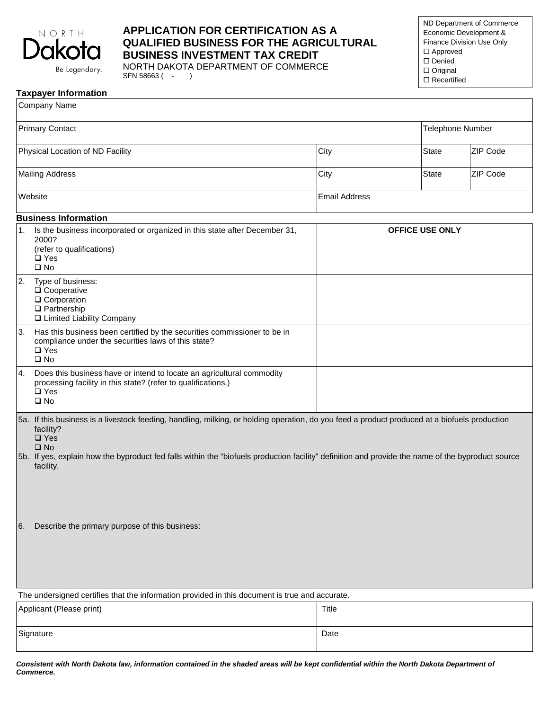

# **APPLICATION FOR CERTIFICATION AS A QUALIFIED BUSINESS FOR THE AGRICULTURAL BUSINESS INVESTMENT TAX CREDIT**

NORTH DAKOTA DEPARTMENT OF COMMERCE SFN 58663 (- )

ND Department of Commerce Economic Development & Finance Division Use Only □ Approved □ Denied □ Original □ Recertified

#### **Taxpayer Information**

| Company Name                                                                                                                                                                                                                                                                                                                                                  |                                                                                                                                                                         |                      |                         |          |
|---------------------------------------------------------------------------------------------------------------------------------------------------------------------------------------------------------------------------------------------------------------------------------------------------------------------------------------------------------------|-------------------------------------------------------------------------------------------------------------------------------------------------------------------------|----------------------|-------------------------|----------|
| <b>Primary Contact</b>                                                                                                                                                                                                                                                                                                                                        |                                                                                                                                                                         |                      | <b>Telephone Number</b> |          |
| Physical Location of ND Facility                                                                                                                                                                                                                                                                                                                              |                                                                                                                                                                         | City                 | <b>State</b>            | ZIP Code |
| <b>Mailing Address</b>                                                                                                                                                                                                                                                                                                                                        |                                                                                                                                                                         | City                 | <b>State</b>            | ZIP Code |
| Website                                                                                                                                                                                                                                                                                                                                                       |                                                                                                                                                                         | <b>Email Address</b> |                         |          |
| <b>Business Information</b>                                                                                                                                                                                                                                                                                                                                   |                                                                                                                                                                         |                      |                         |          |
| 1.                                                                                                                                                                                                                                                                                                                                                            | Is the business incorporated or organized in this state after December 31,<br>2000?<br>(refer to qualifications)<br>$\Box$ Yes<br>$\square$ No                          |                      | <b>OFFICE USE ONLY</b>  |          |
| 2.                                                                                                                                                                                                                                                                                                                                                            | Type of business:<br>$\square$ Cooperative<br>$\square$ Corporation<br>$\Box$ Partnership<br>□ Limited Liability Company                                                |                      |                         |          |
| 3.                                                                                                                                                                                                                                                                                                                                                            | Has this business been certified by the securities commissioner to be in<br>compliance under the securities laws of this state?<br>$\square$ Yes<br>$\square$ No        |                      |                         |          |
| 4.                                                                                                                                                                                                                                                                                                                                                            | Does this business have or intend to locate an agricultural commodity<br>processing facility in this state? (refer to qualifications.)<br>$\square$ Yes<br>$\square$ No |                      |                         |          |
| 5a. If this business is a livestock feeding, handling, milking, or holding operation, do you feed a product produced at a biofuels production<br>facility?<br>$\square$ Yes<br>$\square$ No<br>5b. If yes, explain how the byproduct fed falls within the "biofuels production facility" definition and provide the name of the byproduct source<br>facility. |                                                                                                                                                                         |                      |                         |          |
| Describe the primary purpose of this business:<br>6.                                                                                                                                                                                                                                                                                                          |                                                                                                                                                                         |                      |                         |          |
| The undersigned certifies that the information provided in this document is true and accurate.                                                                                                                                                                                                                                                                |                                                                                                                                                                         |                      |                         |          |
| Applicant (Please print)                                                                                                                                                                                                                                                                                                                                      |                                                                                                                                                                         | Title                |                         |          |
| Signature                                                                                                                                                                                                                                                                                                                                                     |                                                                                                                                                                         | Date                 |                         |          |

*Consistent with North Dakota law, information contained in the shaded areas will be kept confidential within the North Dakota Department of Commerce.*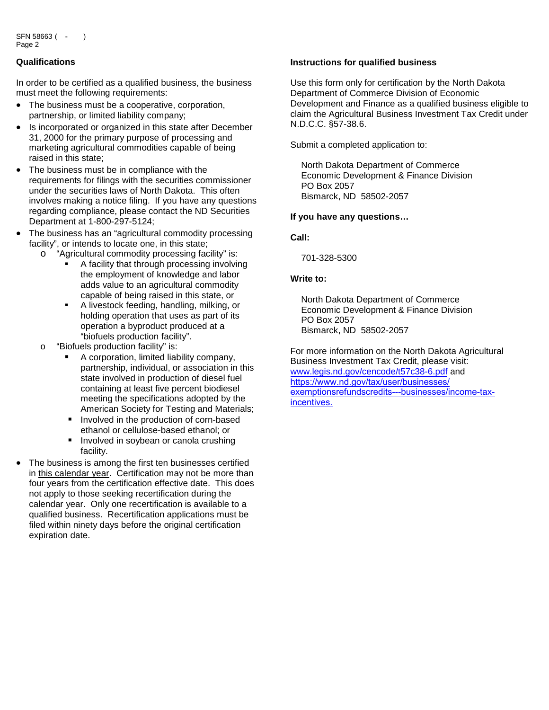### **Qualifications**

In order to be certified as a qualified business, the business must meet the following requirements:

- The business must be a cooperative, corporation, partnership, or limited liability company;
- Is incorporated or organized in this state after December 31, 2000 for the primary purpose of processing and marketing agricultural commodities capable of being raised in this state;
- The business must be in compliance with the requirements for filings with the securities commissioner under the securities laws of North Dakota. This often involves making a notice filing. If you have any questions regarding compliance, please contact the ND Securities Department at 1-800-297-5124;
- The business has an "agricultural commodity processing facility", or intends to locate one, in this state;
	- o "Agricultural commodity processing facility" is:
		- A facility that through processing involving the employment of knowledge and labor adds value to an agricultural commodity capable of being raised in this state, or
		- A livestock feeding, handling, milking, or holding operation that uses as part of its operation a byproduct produced at a "biofuels production facility".
	- o "Biofuels production facility" is:
		- A corporation, limited liability company, partnership, individual, or association in this state involved in production of diesel fuel containing at least five percent biodiesel meeting the specifications adopted by the American Society for Testing and Materials;
		- **Involved in the production of corn-based** ethanol or cellulose-based ethanol; or
		- Involved in sovbean or canola crushing facility.
- The business is among the first ten businesses certified in this calendar year. Certification may not be more than four years from the certification effective date. This does not apply to those seeking recertification during the calendar year. Only one recertification is available to a qualified business. Recertification applications must be filed within ninety days before the original certification expiration date.

#### **Instructions for qualified business**

Use this form only for certification by the North Dakota Department of Commerce Division of Economic Development and Finance as a qualified business eligible to claim the Agricultural Business Investment Tax Credit under N.D.C.C. §57-38.6.

Submit a completed application to:

North Dakota Department of Commerce Economic Development & Finance Division PO Box 2057 Bismarck, ND 58502-2057

#### **If you have any questions…**

### **Call:**

701-328-5300

#### **Write to:**

North Dakota Department of Commerce Economic Development & Finance Division PO Box 2057 Bismarck, ND 58502-2057

For more information on the North Dakota Agricultural Business Investment Tax Credit, please visit: www.legis.nd.gov/cencode/t57c38-6.pdf and https://www.nd.gov/tax/user/businesses/ [exemptionsrefundscredits---businesses/income-tax](https://www.nd.gov/tax/user/businesses/exemptionsrefundscredits---businesses/income-tax-incentives)incentives.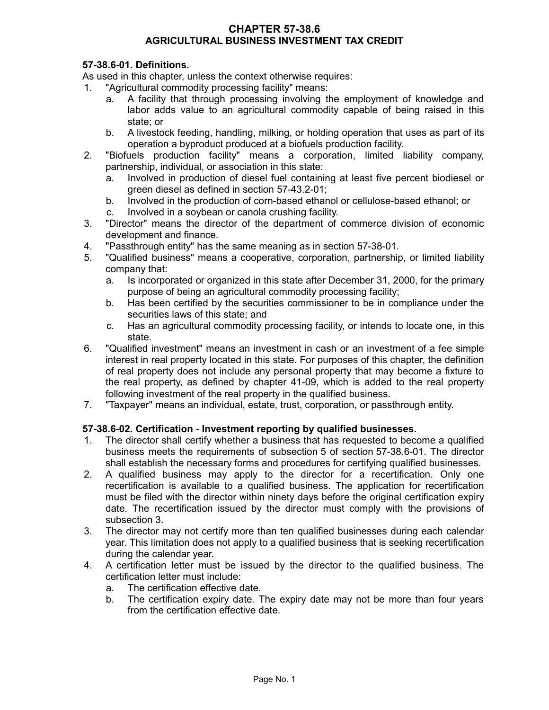## **CHAPTER 57-38.6 AGRICULTURAL BUSINESS INVESTMENT TAX CREDIT**

# **57-38.6-01. Definitions.**

As used in this chapter, unless the context otherwise requires:

- 1. "Agricultural commodity processing facility" means:
	- a. A facility that through processing involving the employment of knowledge and labor adds value to an agricultural commodity capable of being raised in this state; or
	- b. A livestock feeding, handling, milking, or holding operation that uses as part of its operation a byproduct produced at a biofuels production facility.
- 2. "Biofuels production facility" means a corporation, limited liability company, partnership, individual, or association in this state:
	- a. Involved in production of diesel fuel containing at least five percent biodiesel or green diesel as defined in section 57-43.2-01;
	- b. Involved in the production of corn-based ethanol or cellulose-based ethanol; or
	- c. Involved in a soybean or canola crushing facility.
- 3. "Director" means the director of the department of commerce division of economic development and finance.
- 4. "Passthrough entity" has the same meaning as in section 57-38-01.
- 5. "Qualified business" means a cooperative, corporation, partnership, or limited liability company that:
	- a. Is incorporated or organized in this state after December 31, 2000, for the primary purpose of being an agricultural commodity processing facility;
	- b. Has been certified by the securities commissioner to be in compliance under the securities laws of this state; and
	- c. Has an agricultural commodity processing facility, or intends to locate one, in this state.
- 6. "Qualified investment" means an investment in cash or an investment of a fee simple interest in real property located in this state. For purposes of this chapter, the definition of real property does not include any personal property that may become a fixture to the real property, as defined by chapter 41-09, which is added to the real property following investment of the real property in the qualified business.
- 7. "Taxpayer" means an individual, estate, trust, corporation, or passthrough entity.

# **57-38.6-02. Certification - Investment reporting by qualified businesses.**

- 1. The director shall certify whether a business that has requested to become a qualified business meets the requirements of subsection 5 of section 57-38.6-01. The director shall establish the necessary forms and procedures for certifying qualified businesses.
- 2. A qualified business may apply to the director for a recertification. Only one recertification is available to a qualified business. The application for recertification must be filed with the director within ninety days before the original certification expiry date. The recertification issued by the director must comply with the provisions of subsection 3.
- 3. The director may not certify more than ten qualified businesses during each calendar year. This limitation does not apply to a qualified business that is seeking recertification during the calendar year.
- 4. A certification letter must be issued by the director to the qualified business. The certification letter must include:
	- a. The certification effective date.
	- b. The certification expiry date. The expiry date may not be more than four years from the certification effective date.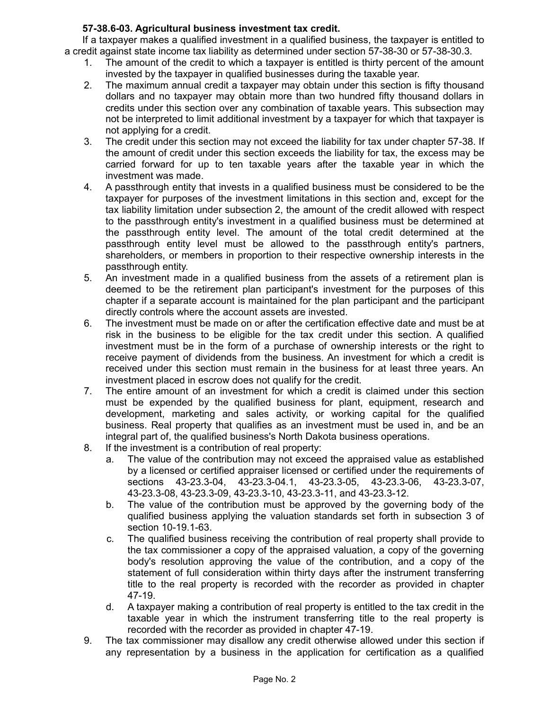# **57-38.6-03. Agricultural business investment tax credit.**

If a taxpayer makes a qualified investment in a qualified business, the taxpayer is entitled to a credit against state income tax liability as determined under section 57-38-30 or 57-38-30.3.

- 1. The amount of the credit to which a taxpayer is entitled is thirty percent of the amount invested by the taxpayer in qualified businesses during the taxable year.
- 2. The maximum annual credit a taxpayer may obtain under this section is fifty thousand dollars and no taxpayer may obtain more than two hundred fifty thousand dollars in credits under this section over any combination of taxable years. This subsection may not be interpreted to limit additional investment by a taxpayer for which that taxpayer is not applying for a credit.
- 3. The credit under this section may not exceed the liability for tax under chapter 57-38. If the amount of credit under this section exceeds the liability for tax, the excess may be carried forward for up to ten taxable years after the taxable year in which the investment was made.
- 4. A passthrough entity that invests in a qualified business must be considered to be the taxpayer for purposes of the investment limitations in this section and, except for the tax liability limitation under subsection 2, the amount of the credit allowed with respect to the passthrough entity's investment in a qualified business must be determined at the passthrough entity level. The amount of the total credit determined at the passthrough entity level must be allowed to the passthrough entity's partners, shareholders, or members in proportion to their respective ownership interests in the passthrough entity.
- 5. An investment made in a qualified business from the assets of a retirement plan is deemed to be the retirement plan participant's investment for the purposes of this chapter if a separate account is maintained for the plan participant and the participant directly controls where the account assets are invested.
- 6. The investment must be made on or after the certification effective date and must be at risk in the business to be eligible for the tax credit under this section. A qualified investment must be in the form of a purchase of ownership interests or the right to receive payment of dividends from the business. An investment for which a credit is received under this section must remain in the business for at least three years. An investment placed in escrow does not qualify for the credit.
- 7. The entire amount of an investment for which a credit is claimed under this section must be expended by the qualified business for plant, equipment, research and development, marketing and sales activity, or working capital for the qualified business. Real property that qualifies as an investment must be used in, and be an integral part of, the qualified business's North Dakota business operations.
- 8. If the investment is a contribution of real property:
	- a. The value of the contribution may not exceed the appraised value as established by a licensed or certified appraiser licensed or certified under the requirements of sections 43-23.3-04, 43-23.3-04.1, 43-23.3-05, 43-23.3-06, 43-23.3-07, 43-23.3-08, 43-23.3-09, 43-23.3-10, 43-23.3-11, and 43-23.3-12.
	- b. The value of the contribution must be approved by the governing body of the qualified business applying the valuation standards set forth in subsection 3 of section 10-19.1-63.
	- c. The qualified business receiving the contribution of real property shall provide to the tax commissioner a copy of the appraised valuation, a copy of the governing body's resolution approving the value of the contribution, and a copy of the statement of full consideration within thirty days after the instrument transferring title to the real property is recorded with the recorder as provided in chapter 47-19.
	- d. A taxpayer making a contribution of real property is entitled to the tax credit in the taxable year in which the instrument transferring title to the real property is recorded with the recorder as provided in chapter 47-19.
- 9. The tax commissioner may disallow any credit otherwise allowed under this section if any representation by a business in the application for certification as a qualified